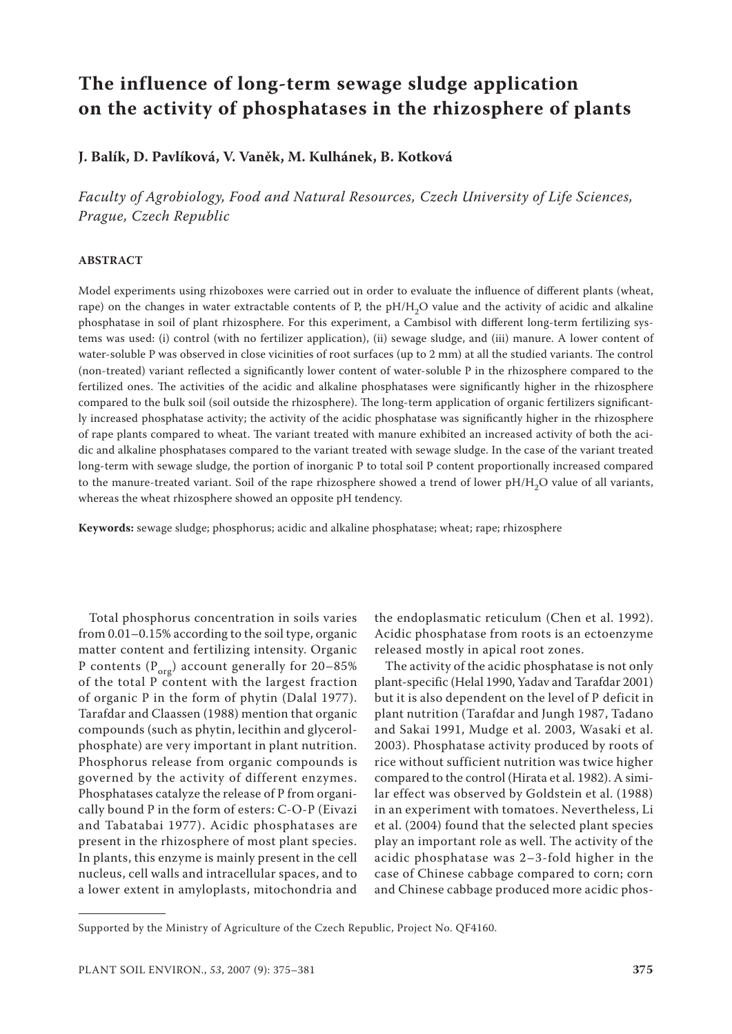# **The influence of long-term sewage sludge application on the activity of phosphatases in the rhizosphere of plants**

**J. Balík, D. Pavlíková, V. Vaněk, M. Kulhánek, B. Kotková**

*Faculty of Agrobiology, Food and Natural Resources, Czech University of Life Sciences, Prague, Czech Republic*

### **ABSTRACT**

Model experiments using rhizoboxes were carried out in order to evaluate the influence of different plants (wheat, rape) on the changes in water extractable contents of P, the pH/H<sub>2</sub>O value and the activity of acidic and alkaline phosphatase in soil of plant rhizosphere. For this experiment, a Cambisol with different long-term fertilizing systems was used: (i) control (with no fertilizer application), (ii) sewage sludge, and (iii) manure. A lower content of water-soluble P was observed in close vicinities of root surfaces (up to 2 mm) at all the studied variants. The control (non-treated) variant reflected a significantly lower content of water-soluble P in the rhizosphere compared to the fertilized ones. The activities of the acidic and alkaline phosphatases were significantly higher in the rhizosphere compared to the bulk soil (soil outside the rhizosphere). The long-term application of organic fertilizers significantly increased phosphatase activity; the activity of the acidic phosphatase was significantly higher in the rhizosphere of rape plants compared to wheat. The variant treated with manure exhibited an increased activity of both the acidic and alkaline phosphatases compared to the variant treated with sewage sludge. In the case of the variant treated long-term with sewage sludge, the portion of inorganic P to total soil P content proportionally increased compared to the manure-treated variant. Soil of the rape rhizosphere showed a trend of lower pH/H<sub>2</sub>O value of all variants, whereas the wheat rhizosphere showed an opposite pH tendency.

**Keywords:** sewage sludge; phosphorus; acidic and alkaline phosphatase; wheat; rape; rhizosphere

Total phosphorus concentration in soils varies from 0.01–0.15% according to the soil type, organic matter content and fertilizing intensity. Organic P contents  $(P_{org})$  account generally for 20–85% of the total P content with the largest fraction of organic P in the form of phytin (Dalal 1977). Tarafdar and Claassen (1988) mention that organic compounds (such as phytin, lecithin and glycerolphosphate) are very important in plant nutrition. Phosphorus release from organic compounds is governed by the activity of different enzymes. Phosphatases catalyze the release of P from organically bound P in the form of esters: C-O-P (Eivazi and Tabatabai 1977). Acidic phosphatases are present in the rhizosphere of most plant species. In plants, this enzyme is mainly present in the cell nucleus, cell walls and intracellular spaces, and to a lower extent in amyloplasts, mitochondria and

the endoplasmatic reticulum (Chen et al. 1992). Acidic phosphatase from roots is an ectoenzyme released mostly in apical root zones.

The activity of the acidic phosphatase is not only plant-specific (Helal 1990, Yadav and Tarafdar 2001) but it is also dependent on the level of P deficit in plant nutrition (Tarafdar and Jungh 1987, Tadano and Sakai 1991, Mudge et al. 2003, Wasaki et al. 2003). Phosphatase activity produced by roots of rice without sufficient nutrition was twice higher compared to the control (Hirata et al. 1982). A similar effect was observed by Goldstein et al. (1988) in an experiment with tomatoes. Nevertheless, Li et al. (2004) found that the selected plant species play an important role as well. The activity of the acidic phosphatase was 2–3-fold higher in the case of Chinese cabbage compared to corn; corn and Chinese cabbage produced more acidic phos-

Supported by the Ministry of Agriculture of the Czech Republic, Project No. QF4160.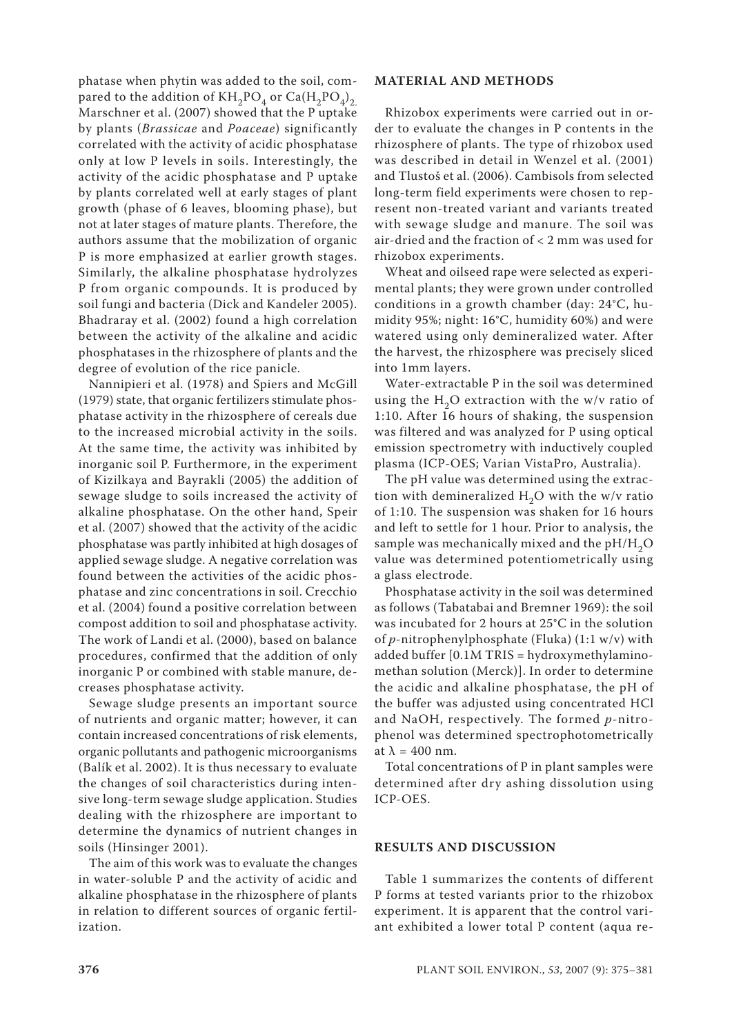phatase when phytin was added to the soil, compared to the addition of  $KH_2PO_4$  or  $Ca(H_2PO_4)_2$ . Marschner et al. (2007) showed that the P uptake by plants (*Brassicae* and *Poaceae*) significantly correlated with the activity of acidic phosphatase only at low P levels in soils. Interestingly, the activity of the acidic phosphatase and P uptake by plants correlated well at early stages of plant growth (phase of 6 leaves, blooming phase), but not at later stages of mature plants. Therefore, the authors assume that the mobilization of organic P is more emphasized at earlier growth stages. Similarly, the alkaline phosphatase hydrolyzes P from organic compounds. It is produced by soil fungi and bacteria (Dick and Kandeler 2005). Bhadraray et al. (2002) found a high correlation between the activity of the alkaline and acidic phosphatases in the rhizosphere of plants and the degree of evolution of the rice panicle.

Nannipieri et al. (1978) and Spiers and McGill (1979) state, that organic fertilizers stimulate phosphatase activity in the rhizosphere of cereals due to the increased microbial activity in the soils. At the same time, the activity was inhibited by inorganic soil P. Furthermore, in the experiment of Kizilkaya and Bayrakli (2005) the addition of sewage sludge to soils increased the activity of alkaline phosphatase. On the other hand, Speir et al. (2007) showed that the activity of the acidic phosphatase was partly inhibited at high dosages of applied sewage sludge. A negative correlation was found between the activities of the acidic phosphatase and zinc concentrations in soil. Crecchio et al. (2004) found a positive correlation between compost addition to soil and phosphatase activity. The work of Landi et al. (2000), based on balance procedures, confirmed that the addition of only inorganic P or combined with stable manure, decreases phosphatase activity.

Sewage sludge presents an important source of nutrients and organic matter; however, it can contain increased concentrations of risk elements, organic pollutants and pathogenic microorganisms (Balík et al. 2002). It is thus necessary to evaluate the changes of soil characteristics during intensive long-term sewage sludge application. Studies dealing with the rhizosphere are important to determine the dynamics of nutrient changes in soils (Hinsinger 2001).

The aim of this work was to evaluate the changes in water-soluble P and the activity of acidic and alkaline phosphatase in the rhizosphere of plants in relation to different sources of organic fertilization.

## **MATERIAL AND METHODS**

Rhizobox experiments were carried out in order to evaluate the changes in P contents in the rhizosphere of plants. The type of rhizobox used was described in detail in Wenzel et al. (2001) and Tlustoš et al. (2006). Cambisols from selected long-term field experiments were chosen to represent non-treated variant and variants treated with sewage sludge and manure. The soil was air-dried and the fraction of < 2 mm was used for rhizobox experiments.

Wheat and oilseed rape were selected as experimental plants; they were grown under controlled conditions in a growth chamber (day: 24°C, humidity 95%; night: 16°C, humidity 60%) and were watered using only demineralized water. After the harvest, the rhizosphere was precisely sliced into 1mm layers.

Water-extractable P in the soil was determined using the  $H<sub>2</sub>O$  extraction with the w/v ratio of 1:10. After 16 hours of shaking, the suspension was filtered and was analyzed for P using optical emission spectrometry with inductively coupled plasma (ICP-OES; Varian VistaPro, Australia).

The pH value was determined using the extraction with demineralized  $H_2O$  with the w/v ratio of 1:10. The suspension was shaken for 16 hours and left to settle for 1 hour. Prior to analysis, the sample was mechanically mixed and the  $pH/H<sub>2</sub>O$ value was determined potentiometrically using a glass electrode.

Phosphatase activity in the soil was determined as follows (Tabatabai and Bremner 1969): the soil was incubated for 2 hours at 25°C in the solution of *p-*nitrophenylphosphate (Fluka) (1:1 w/v) with added buffer [0.1M TRIS = hydroxymethylaminomethan solution (Merck)]. In order to determine the acidic and alkaline phosphatase, the pH of the buffer was adjusted using concentrated HCl and NaOH, respectively. The formed *p*-nitrophenol was determined spectrophotometrically at  $\lambda = 400$  nm.

Total concentrations of P in plant samples were determined after dry ashing dissolution using ICP-OES.

### **RESULTS AND DISCUSSION**

Table 1 summarizes the contents of different P forms at tested variants prior to the rhizobox experiment. It is apparent that the control variant exhibited a lower total P content (aqua re-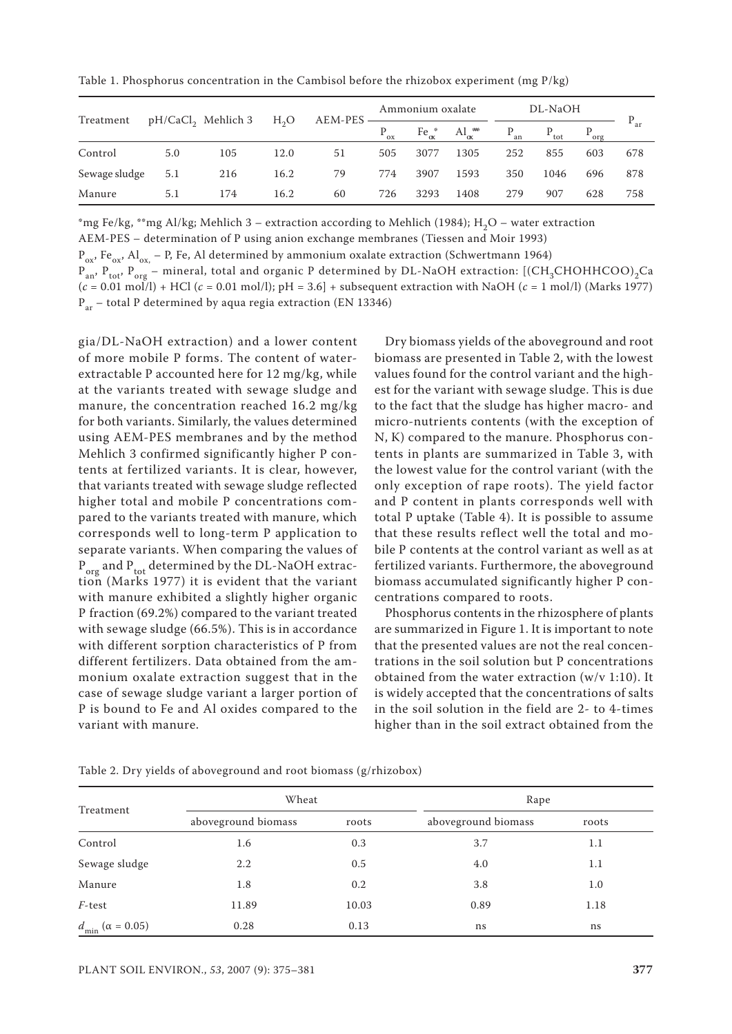Table 1. Phosphorus concentration in the Cambisol before the rhizobox experiment (mg  $P/kg$ )

| Treatment     | pH/CaCl <sub>2</sub> Mehlich 3 |     | H <sub>2</sub> O | AEM-PES | Ammonium oxalate |                 | DL-NaOH                    |          |                  |           |         |
|---------------|--------------------------------|-----|------------------|---------|------------------|-----------------|----------------------------|----------|------------------|-----------|---------|
|               |                                |     |                  |         | $P_{ox}$         | $Fe_{\alpha}^*$ | $\mathrm{Al}_{\alpha}^{*}$ | $P_{an}$ | $P_{\text{tot}}$ | $P_{org}$ | $^*$ ar |
| Control       | 5.0                            | 105 | 12.0             | 51      | 505              | 3077            | 1305                       | 252      | 855              | 603       | 678     |
| Sewage sludge | 5.1                            | 216 | 16.2             | 79      | 774              | 3907            | 1593                       | 350      | 1046             | 696       | 878     |
| Manure        | 5.1                            | 174 | 16.2             | 60      | 726              | 3293            | 1408                       | 279      | 907              | 628       | 758     |

\*mg Fe/kg, \*\*mg Al/kg; Mehlich 3 – extraction according to Mehlich (1984); H<sub>2</sub>O – water extraction

AEM-PES – determination of P using anion exchange membranes (Tiessen and Moir 1993)

 $P_{ox}$ , Fe<sub>ox</sub>, Al<sub>ox,</sub> – P, Fe, Al determined by ammonium oxalate extraction (Schwertmann 1964)

 $P_{an}$ ,  $P_{tot}$ ,  $P_{org}$  – mineral, total and organic P determined by DL-NaOH extraction: [(CH<sub>3</sub>CHOHHCOO)<sub>2</sub>Ca  $(c = 0.01 \text{ mol/l}) + \text{HCl}$  ( $c = 0.01 \text{ mol/l}$ ); pH = 3.6] + subsequent extraction with NaOH ( $c = 1 \text{ mol/l}$ ) (Marks 1977)  $P_{ar}$  – total P determined by aqua regia extraction (EN 13346)

gia/DL-NaOH extraction) and a lower content of more mobile P forms. The content of waterextractable P accounted here for 12 mg/kg, while at the variants treated with sewage sludge and manure, the concentration reached 16.2 mg/kg for both variants. Similarly, the values determined using AEM-PES membranes and by the method Mehlich 3 confirmed significantly higher P contents at fertilized variants. It is clear, however, that variants treated with sewage sludge reflected higher total and mobile P concentrations compared to the variants treated with manure, which corresponds well to long-term P application to separate variants. When comparing the values of  $P_{\text{org}}$  and  $P_{\text{tot}}$  determined by the DL-NaOH extraction (Marks 1977) it is evident that the variant with manure exhibited a slightly higher organic P fraction (69.2%) compared to the variant treated with sewage sludge (66.5%). This is in accordance with different sorption characteristics of P from different fertilizers. Data obtained from the ammonium oxalate extraction suggest that in the case of sewage sludge variant a larger portion of P is bound to Fe and Al oxides compared to the variant with manure.

Dry biomass yields of the aboveground and root biomass are presented in Table 2, with the lowest values found for the control variant and the highest for the variant with sewage sludge. This is due to the fact that the sludge has higher macro- and micro-nutrients contents (with the exception of N, K) compared to the manure. Phosphorus contents in plants are summarized in Table 3, with the lowest value for the control variant (with the only exception of rape roots). The yield factor and P content in plants corresponds well with total P uptake (Table 4). It is possible to assume that these results reflect well the total and mobile P contents at the control variant as well as at fertilized variants. Furthermore, the aboveground biomass accumulated significantly higher P concentrations compared to roots.

Phosphorus contents in the rhizosphere of plants are summarized in Figure 1. It is important to note that the presented values are not the real concentrations in the soil solution but P concentrations obtained from the water extraction (w/v 1:10). It is widely accepted that the concentrations of salts in the soil solution in the field are 2- to 4-times higher than in the soil extract obtained from the

| Treatment                           | Wheat               |       | Rape                |       |  |  |
|-------------------------------------|---------------------|-------|---------------------|-------|--|--|
|                                     | aboveground biomass | roots | aboveground biomass | roots |  |  |
| Control                             | 1.6                 | 0.3   | 3.7                 | 1.1   |  |  |
| Sewage sludge                       | 2.2                 | 0.5   | 4.0                 | 1.1   |  |  |
| Manure                              | 1.8                 | 0.2   | 3.8                 | 1.0   |  |  |
| $F$ -test                           | 11.89               | 10.03 | 0.89                | 1.18  |  |  |
| $d_{\text{min}}$ ( $\alpha$ = 0.05) | 0.28                | 0.13  | ns                  | ns    |  |  |

Table 2. Dry yields of aboveground and root biomass (g/rhizobox)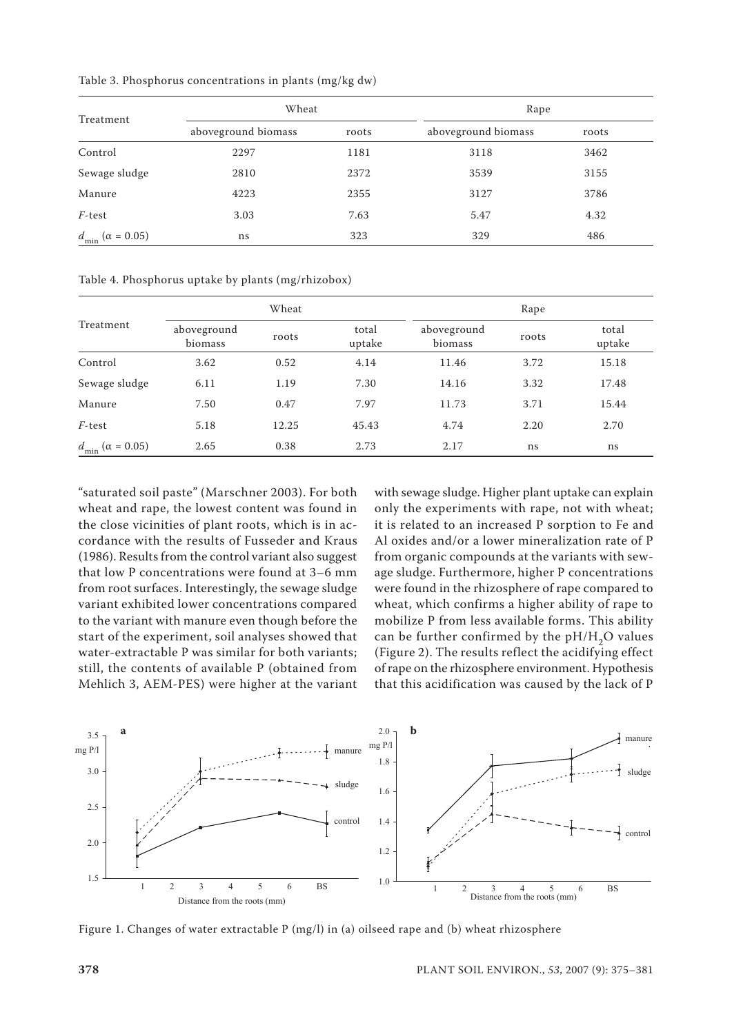| Treatment                     | Wheat               |       | Rape                |       |  |  |
|-------------------------------|---------------------|-------|---------------------|-------|--|--|
|                               | aboveground biomass | roots | aboveground biomass | roots |  |  |
| Control                       | 2297                | 1181  | 3118                | 3462  |  |  |
| Sewage sludge                 | 2810                | 2372  | 3539                | 3155  |  |  |
| Manure                        | 4223                | 2355  | 3127                | 3786  |  |  |
| $F$ -test                     | 3.03                | 7.63  | 5.47                | 4.32  |  |  |
| $d_{\min}$ ( $\alpha$ = 0.05) | ns                  | 323   | 329                 | 486   |  |  |

Table 3. Phosphorus concentrations in plants (mg/kg dw)

Table 4. Phosphorus uptake by plants (mg/rhizobox)

| Treatment                     |                        | Wheat |                 | Rape                   |       |                 |  |
|-------------------------------|------------------------|-------|-----------------|------------------------|-------|-----------------|--|
|                               | aboveground<br>biomass | roots | total<br>uptake | aboveground<br>biomass | roots | total<br>uptake |  |
| Control                       | 3.62                   | 0.52  | 4.14            | 11.46                  | 3.72  | 15.18           |  |
| Sewage sludge                 | 6.11                   | 1.19  | 7.30            | 14.16                  | 3.32  | 17.48           |  |
| Manure                        | 7.50                   | 0.47  | 7.97            | 11.73                  | 3.71  | 15.44           |  |
| $F$ -test                     | 5.18                   | 12.25 | 45.43           | 4.74                   | 2.20  | 2.70            |  |
| $d_{\min}$ ( $\alpha$ = 0.05) | 2.65                   | 0.38  | 2.73            | 2.17                   | ns    | ns              |  |

"saturated soil paste" (Marschner 2003). For both wheat and rape, the lowest content was found in the close vicinities of plant roots, which is in accordance with the results of Fusseder and Kraus (1986). Results from the control variant also suggest that low P concentrations were found at 3–6 mm from root surfaces. Interestingly, the sewage sludge variant exhibited lower concentrations compared to the variant with manure even though before the start of the experiment, soil analyses showed that water-extractable P was similar for both variants; still, the contents of available P (obtained from Mehlich 3, AEM-PES) were higher at the variant with sewage sludge. Higher plant uptake can explain only the experiments with rape, not with wheat; it is related to an increased P sorption to Fe and Al oxides and/or a lower mineralization rate of P from organic compounds at the variants with sewage sludge. Furthermore, higher P concentrations were found in the rhizosphere of rape compared to wheat, which confirms a higher ability of rape to mobilize P from less available forms. This ability can be further confirmed by the  $pH/H<sub>2</sub>O$  values (Figure 2). The results reflect the acidifying effect of rape on the rhizosphere environment. Hypothesis that this acidification was caused by the lack of P



Figure 1. Changes of water extractable P (mg/l) in (a) oilseed rape and (b) wheat rhizosphere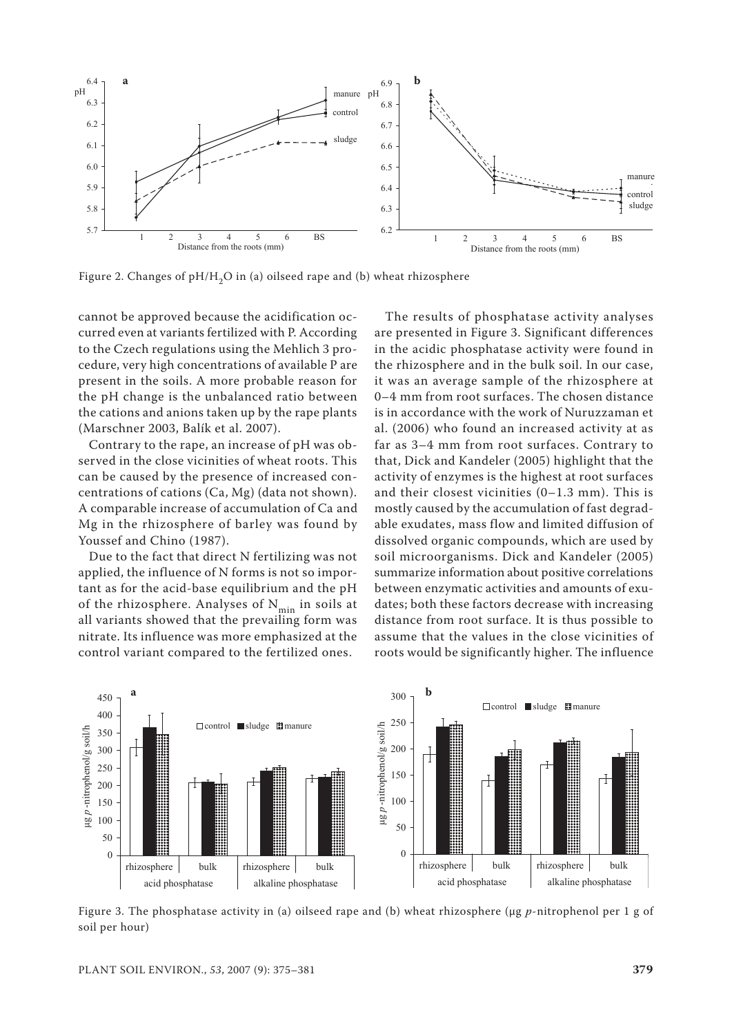

Figure 2. Changes of  $pH/H<sub>2</sub>O$  in (a) oilseed rape and (b) wheat rhizosphere

cannot be approved because the acidification occurred even at variants fertilized with P. According to the Czech regulations using the Mehlich 3 procedure, very high concentrations of available P are present in the soils. A more probable reason for the pH change is the unbalanced ratio between the cations and anions taken up by the rape plants (Marschner 2003, Balík et al. 2007).

Contrary to the rape, an increase of pH was observed in the close vicinities of wheat roots. This can be caused by the presence of increased concentrations of cations (Ca, Mg) (data not shown). A comparable increase of accumulation of Ca and Mg in the rhizosphere of barley was found by Youssef and Chino (1987).

Due to the fact that direct N fertilizing was not applied, the influence of N forms is not so important as for the acid-base equilibrium and the pH of the rhizosphere. Analyses of  $N_{\text{min}}$  in soils at all variants showed that the prevailing form was nitrate. Its influence was more emphasized at the control variant compared to the fertilized ones.

The results of phosphatase activity analyses are presented in Figure 3. Significant differences in the acidic phosphatase activity were found in the rhizosphere and in the bulk soil. In our case, it was an average sample of the rhizosphere at 0–4 mm from root surfaces. The chosen distance is in accordance with the work of Nuruzzaman et al. (2006) who found an increased activity at as far as 3–4 mm from root surfaces. Contrary to that, Dick and Kandeler (2005) highlight that the activity of enzymes is the highest at root surfaces and their closest vicinities (0–1.3 mm). This is mostly caused by the accumulation of fast degradable exudates, mass flow and limited diffusion of dissolved organic compounds, which are used by soil microorganisms. Dick and Kandeler (2005) summarize information about positive correlations between enzymatic activities and amounts of exudates; both these factors decrease with increasing distance from root surface. It is thus possible to assume that the values in the close vicinities of roots would be significantly higher. The influence



Figure 3. The phosphatase activity in (a) oilseed rape and (b) wheat rhizosphere (µg *p*-nitrophenol per 1 g of soil per hour)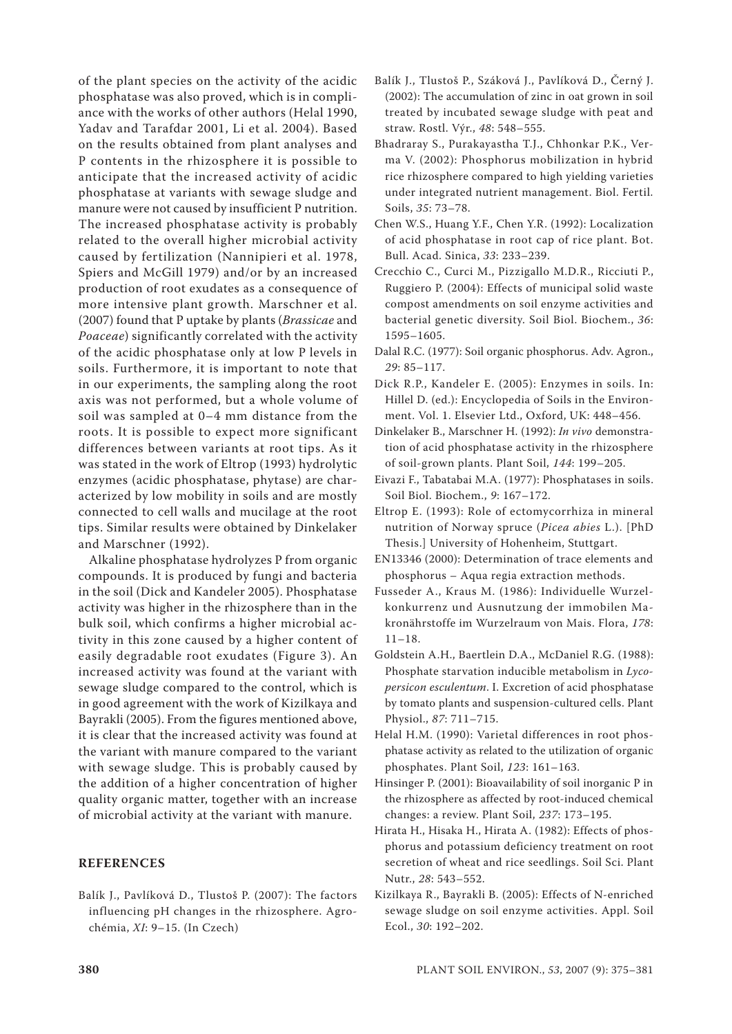of the plant species on the activity of the acidic phosphatase was also proved, which is in compliance with the works of other authors (Helal 1990, Yadav and Tarafdar 2001, Li et al. 2004). Based on the results obtained from plant analyses and P contents in the rhizosphere it is possible to anticipate that the increased activity of acidic phosphatase at variants with sewage sludge and manure were not caused by insufficient P nutrition. The increased phosphatase activity is probably related to the overall higher microbial activity caused by fertilization (Nannipieri et al. 1978, Spiers and McGill 1979) and/or by an increased production of root exudates as a consequence of more intensive plant growth. Marschner et al. (2007) found that P uptake by plants (*Brassicae* and *Poaceae*) significantly correlated with the activity of the acidic phosphatase only at low P levels in soils. Furthermore, it is important to note that in our experiments, the sampling along the root axis was not performed, but a whole volume of soil was sampled at 0–4 mm distance from the roots. It is possible to expect more significant differences between variants at root tips. As it was stated in the work of Eltrop (1993) hydrolytic enzymes (acidic phosphatase, phytase) are characterized by low mobility in soils and are mostly connected to cell walls and mucilage at the root tips. Similar results were obtained by Dinkelaker and Marschner (1992).

Alkaline phosphatase hydrolyzes P from organic compounds. It is produced by fungi and bacteria in the soil (Dick and Kandeler 2005). Phosphatase activity was higher in the rhizosphere than in the bulk soil, which confirms a higher microbial activity in this zone caused by a higher content of easily degradable root exudates (Figure 3). An increased activity was found at the variant with sewage sludge compared to the control, which is in good agreement with the work of Kizilkaya and Bayrakli (2005). From the figures mentioned above, it is clear that the increased activity was found at the variant with manure compared to the variant with sewage sludge. This is probably caused by the addition of a higher concentration of higher quality organic matter, together with an increase of microbial activity at the variant with manure.

# **REFERENCES**

Balík J., Pavlíková D., Tlustoš P. (2007): The factors influencing pH changes in the rhizosphere. Agrochémia, *XI*: 9–15. (In Czech)

- Balík J., Tlustoš P., Száková J., Pavlíková D., Černý J. (2002): The accumulation of zinc in oat grown in soil treated by incubated sewage sludge with peat and straw. Rostl. Výr., *48*: 548–555.
- Bhadraray S., Purakayastha T.J., Chhonkar P.K., Verma V. (2002): Phosphorus mobilization in hybrid rice rhizosphere compared to high yielding varieties under integrated nutrient management. Biol. Fertil. Soils, *35*: 73–78.
- Chen W.S., Huang Y.F., Chen Y.R. (1992): Localization of acid phosphatase in root cap of rice plant. Bot. Bull. Acad. Sinica, *33*: 233–239.
- Crecchio C., Curci M., Pizzigallo M.D.R., Ricciuti P., Ruggiero P. (2004): Effects of municipal solid waste compost amendments on soil enzyme activities and bacterial genetic diversity. Soil Biol. Biochem., *36*: 1595–1605.
- Dalal R.C. (1977): Soil organic phosphorus. Adv. Agron., *29*: 85–117.
- Dick R.P., Kandeler E. (2005): Enzymes in soils. In: Hillel D. (ed.): Encyclopedia of Soils in the Environment. Vol. 1. Elsevier Ltd., Oxford, UK: 448–456.
- Dinkelaker B., Marschner H. (1992): *In vivo* demonstration of acid phosphatase activity in the rhizosphere of soil-grown plants. Plant Soil, *144*: 199–205.
- Eivazi F., Tabatabai M.A. (1977): Phosphatases in soils. Soil Biol. Biochem., *9*: 167–172.
- Eltrop E. (1993): Role of ectomycorrhiza in mineral nutrition of Norway spruce (*Picea abies* L.). [PhD Thesis.] University of Hohenheim, Stuttgart.
- EN13346 (2000): Determination of trace elements and phosphorus – Aqua regia extraction methods.
- Fusseder A., Kraus M. (1986): Individuelle Wurzelkonkurrenz und Ausnutzung der immobilen Makronährstoffe im Wurzelraum von Mais. Flora, *178*:  $11-18$ .
- Goldstein A.H., Baertlein D.A., McDaniel R.G. (1988): Phosphate starvation inducible metabolism in *Lycopersicon esculentum*. I. Excretion of acid phosphatase by tomato plants and suspension-cultured cells. Plant Physiol., *87*: 711–715.
- Helal H.M. (1990): Varietal differences in root phosphatase activity as related to the utilization of organic phosphates. Plant Soil, *123*: 161–163.
- Hinsinger P. (2001): Bioavailability of soil inorganic P in the rhizosphere as affected by root-induced chemical changes: a review. Plant Soil, *237*: 173–195.
- Hirata H., Hisaka H., Hirata A. (1982): Effects of phosphorus and potassium deficiency treatment on root secretion of wheat and rice seedlings. Soil Sci. Plant Nutr., *28*: 543–552.
- Kizilkaya R., Bayrakli B. (2005): Effects of N-enriched sewage sludge on soil enzyme activities. Appl. Soil Ecol., *30*: 192–202.